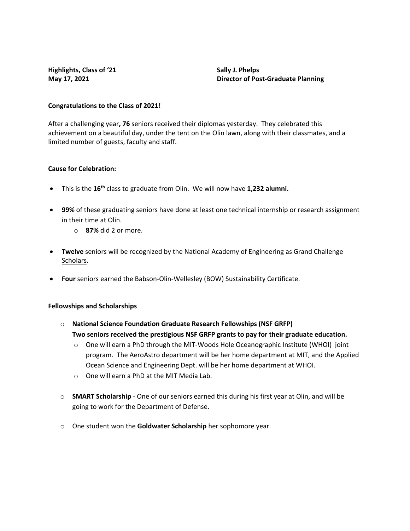**Highlights, Class of '21 Sally J. Phelps** 

**May 17, 2021 Director of Post-Graduate Planning**

## **Congratulations to the Class of 2021!**

After a challenging year**, 76** seniors received their diplomas yesterday. They celebrated this achievement on a beautiful day, under the tent on the Olin lawn, along with their classmates, and a limited number of guests, faculty and staff.

# **Cause for Celebration:**

- This is the **16th** class to graduate from Olin. We will now have **1,232 alumni.**
- **99%** of these graduating seniors have done at least one technical internship or research assignment in their time at Olin.
	- o **87%** did 2 or more.
- **Twelve** seniors will be recognized by the National Academy of Engineering as [Grand Challenge](http://www.olin.edu/academics/other-opportunities/grand-challenge-scholars-program/about-us/)  [Scholars.](http://www.olin.edu/academics/other-opportunities/grand-challenge-scholars-program/about-us/)
- **Four** seniors earned the Babson-Olin-Wellesley (BOW) Sustainability Certificate.

# **Fellowships and Scholarships**

- o **National Science Foundation Graduate Research Fellowships (NSF GRFP) Two seniors received the prestigious NSF GRFP grants to pay for their graduate education.** 
	- o One will earn a PhD through the MIT-Woods Hole Oceanographic Institute (WHOI) joint program. The AeroAstro department will be her home department at MIT, and the Applied Ocean Science and Engineering Dept. will be her home department at WHOI.
	- o One will earn a PhD at the MIT Media Lab.
- o **SMART Scholarship** One of our seniors earned this during his first year at Olin, and will be going to work for the Department of Defense.
- o One student won the **Goldwater Scholarship** her sophomore year.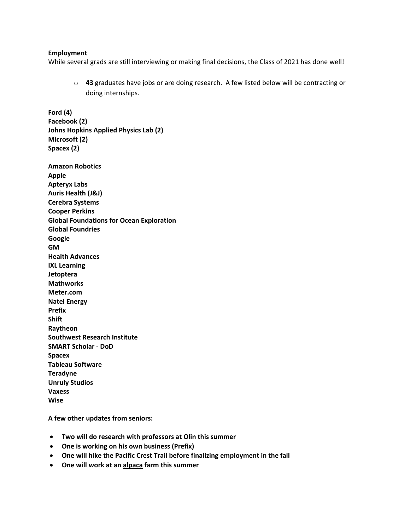#### **Employment**

**Ford (4) Facebook (2)**

While several grads are still interviewing or making final decisions, the Class of 2021 has done well!

o **43** graduates have jobs or are doing research. A few listed below will be contracting or doing internships.

**Johns Hopkins Applied Physics Lab (2) Microsoft (2) Spacex (2) Amazon Robotics Apple Apteryx Labs Auris Health (J&J) Cerebra Systems Cooper Perkins Global Foundations for Ocean Exploration Global Foundries Google GM Health Advances IXL Learning Jetoptera Mathworks Meter.com Natel Energy Prefix Shift Raytheon Southwest Research Institute SMART Scholar - DoD Spacex Tableau Software Teradyne Unruly Studios Vaxess Wise**

**A few other updates from seniors:**

- **Two will do research with professors at Olin this summer**
- **One is working on his own business (Prefix)**
- **One will hike the Pacific Crest Trail before finalizing employment in the fall**
- **One will work at a[n alpaca](https://nationalzoo.si.edu/animals/alpaca) farm this summer**